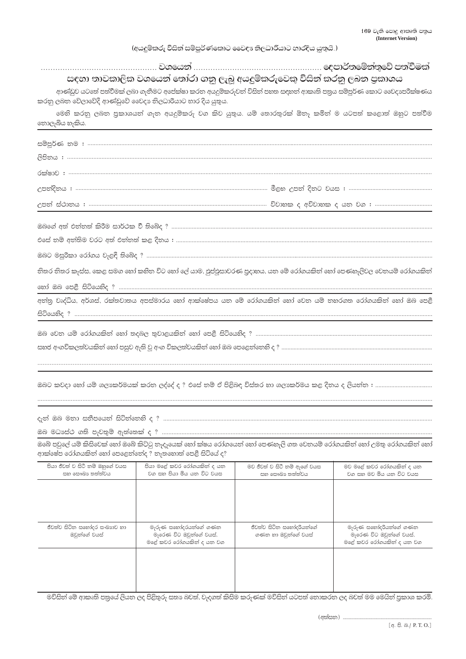## (අයදුම්කරු විසින් සම්පූර්ණකොට වෛදා නිලධාරියාට භාරදිය යුතුයි.)

| සඳහා තාවකාලික වශයෙන් තෝරා ගනු ලැබූ අයදුම්කරුවෙකු විසින් කරනු ලබන පුකාශය                                                                                                    |
|----------------------------------------------------------------------------------------------------------------------------------------------------------------------------|
|                                                                                                                                                                            |
| ආණ්ඩුව යටතේ පත්වීමක් ලබා ගැනීමට අපේක්ෂා කරන අයදුම්කරුවන් විසින් පහත සඳහන් ආකෘති පතුය සම්පූර්ණ කොට වෛදාපරීක්ෂණය<br>කරනු ලබන වේලාවේදී ආණ්ඩුවේ වෛදා නිලධාරියාට හාර දිය යුතුය. |
| මෙහි කරනු ලබන පුකාශයන් ගැන අයදුම්කරු වග කිව යුතුය. යම් තොරතුරක් ඕනෑ කමින් ම යටපත් කළොත් ඔහුට පත්වීම<br>තොලැබිය හැකිය.                                                      |
|                                                                                                                                                                            |
|                                                                                                                                                                            |
|                                                                                                                                                                            |
|                                                                                                                                                                            |
|                                                                                                                                                                            |
|                                                                                                                                                                            |
|                                                                                                                                                                            |
|                                                                                                                                                                            |
|                                                                                                                                                                            |
|                                                                                                                                                                            |
| තිතර තිතර කැස්ස, කෙළ සමග හෝ කහිත විට හෝ ලේ යාම, ඵුප්ඵූසාවරණ පුදාහය, යත මේ රෝගයකිත් හෝ පෙණහැලිවල වෙතයම් රෝගයකිත්                                                            |
|                                                                                                                                                                            |
| අත්තු වෘද්ධිය, අර්ශස්, රක්තවාතය අපස්මාරය හෝ ආක්ෂේපය යන මේ රෝගයකිත් හෝ වෙත යම් තහරගත රෝගයකිත් හෝ ඔබ පෙළී                                                                    |
|                                                                                                                                                                            |
|                                                                                                                                                                            |
|                                                                                                                                                                            |
|                                                                                                                                                                            |
|                                                                                                                                                                            |
| ඔබට කවදා හෝ යම් ශලාකර්මයක් කරත ලද්දේ ද ? එසේ තම් ඒ පිළිබඳ විස්තර හා ශලාකර්මය කළ දිතය ද ලියත්ත : ………………………………                                                               |

ඔබේ පවුලේ යම් කිසිවෙක් හෝ ඔබේ කිට්ටු තෑදෑයෙක් හෝ ක්ෂය රෝගයෙන් හෝ පෙණහැලි ගත වෙනයම් රෝගයකින් හෝ උමතු රෝගයකින් හෝ ආක්ෂේප රෝගයකින් හෝ පෙළෙන්නේද ? නැතහොත් පෙළී සිටියේ ද?

| පියා ජීවත් ව සිටී නම් ඔහුගේ වයස<br>සහ සෞඛා තත්ත්වය | පියා මළේ කවර රෝගයකින් ද යන<br>වග සහ පියා මිය යන විට වයස                     | මව ජීවත් ව සිටී නම් ආගේ වයස<br>සහ සෞඛා තත්ත්වය  | මව මළේ කවර රෝගයකින් ද යන<br>වග සහ මව මිය යන විට වයස                          |
|----------------------------------------------------|-----------------------------------------------------------------------------|-------------------------------------------------|------------------------------------------------------------------------------|
|                                                    |                                                                             |                                                 |                                                                              |
|                                                    |                                                                             |                                                 |                                                                              |
|                                                    |                                                                             |                                                 |                                                                              |
| ජීවත්ව සිටින සහෝදර සංඛාගව හා<br>ඔවුන්ගේ වයස්       | මැරුණ සහෝදරයන්ගේ ගණන<br>මැරෙණ විට ඔවුන්ගේ වයස්,<br>මළේ කවර රෝගයකින් ද යන වග | ජීවත්ව සිටින සහෝදරියන්ගේ<br>ගණන හා ඔවුන්ගේ වයස් | මැරුණ සහෝදරියන්ගේ ගණන<br>මැරෙණ විට ඔවුන්ගේ වයස්,<br>මළේ කවර රෝගයකින් ද යන වග |
|                                                    |                                                                             |                                                 |                                                                              |
|                                                    |                                                                             |                                                 |                                                                              |
|                                                    |                                                                             |                                                 |                                                                              |

.<br>මවිසින් මේ ආකෘති පතුයේ ලියන ලද පිළිතුරු සතා බවත්, වැදගත් කිසිම කරුණක් මවිසින් යටපත් තොකරන ලද බවත් මම මෙයින් පුකාශ කරමි.